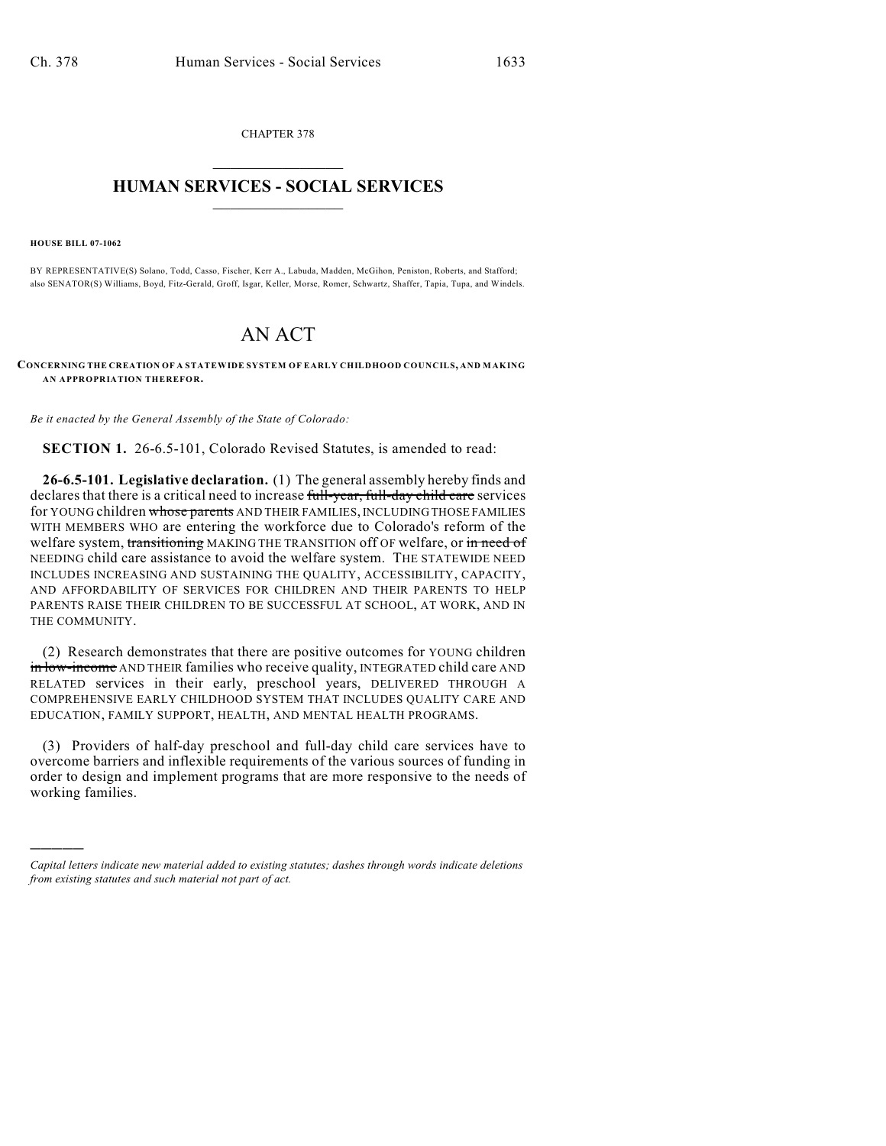CHAPTER 378  $\overline{\phantom{a}}$  . The set of the set of the set of the set of the set of the set of the set of the set of the set of the set of the set of the set of the set of the set of the set of the set of the set of the set of the set o

## **HUMAN SERVICES - SOCIAL SERVICES**  $\frac{1}{2}$  ,  $\frac{1}{2}$  ,  $\frac{1}{2}$  ,  $\frac{1}{2}$  ,  $\frac{1}{2}$  ,  $\frac{1}{2}$  ,  $\frac{1}{2}$

**HOUSE BILL 07-1062**

)))))

BY REPRESENTATIVE(S) Solano, Todd, Casso, Fischer, Kerr A., Labuda, Madden, McGihon, Peniston, Roberts, and Stafford; also SENATOR(S) Williams, Boyd, Fitz-Gerald, Groff, Isgar, Keller, Morse, Romer, Schwartz, Shaffer, Tapia, Tupa, and Windels.

## AN ACT

**CONCERNING THE CREATION OF A STATEWIDE SYSTEM OF EARLY CHILDHOOD COUNCILS, AND MAKING AN APPROPRIATION THEREFOR.**

*Be it enacted by the General Assembly of the State of Colorado:*

**SECTION 1.** 26-6.5-101, Colorado Revised Statutes, is amended to read:

**26-6.5-101. Legislative declaration.** (1) The general assembly hereby finds and declares that there is a critical need to increase full-year, full-day child care services for YOUNG children whose parents AND THEIR FAMILIES, INCLUDING THOSE FAMILIES WITH MEMBERS WHO are entering the workforce due to Colorado's reform of the welfare system, transitioning MAKING THE TRANSITION off OF welfare, or in need of NEEDING child care assistance to avoid the welfare system. THE STATEWIDE NEED INCLUDES INCREASING AND SUSTAINING THE QUALITY, ACCESSIBILITY, CAPACITY, AND AFFORDABILITY OF SERVICES FOR CHILDREN AND THEIR PARENTS TO HELP PARENTS RAISE THEIR CHILDREN TO BE SUCCESSFUL AT SCHOOL, AT WORK, AND IN THE COMMUNITY.

(2) Research demonstrates that there are positive outcomes for YOUNG children in low-income AND THEIR families who receive quality, INTEGRATED child care AND RELATED services in their early, preschool years, DELIVERED THROUGH A COMPREHENSIVE EARLY CHILDHOOD SYSTEM THAT INCLUDES QUALITY CARE AND EDUCATION, FAMILY SUPPORT, HEALTH, AND MENTAL HEALTH PROGRAMS.

(3) Providers of half-day preschool and full-day child care services have to overcome barriers and inflexible requirements of the various sources of funding in order to design and implement programs that are more responsive to the needs of working families.

*Capital letters indicate new material added to existing statutes; dashes through words indicate deletions from existing statutes and such material not part of act.*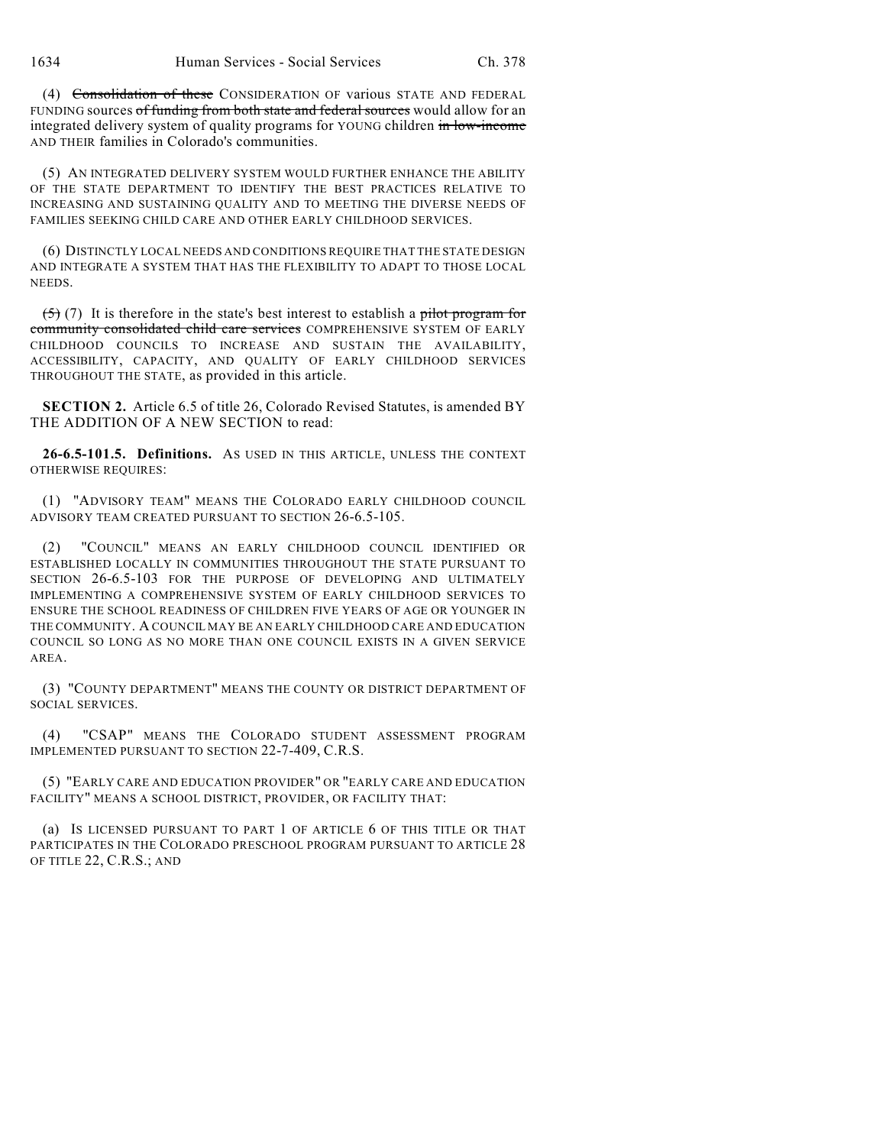(4) Consolidation of these CONSIDERATION OF various STATE AND FEDERAL FUNDING sources of funding from both state and federal sources would allow for an integrated delivery system of quality programs for YOUNG children in low-income AND THEIR families in Colorado's communities.

(5) AN INTEGRATED DELIVERY SYSTEM WOULD FURTHER ENHANCE THE ABILITY OF THE STATE DEPARTMENT TO IDENTIFY THE BEST PRACTICES RELATIVE TO INCREASING AND SUSTAINING QUALITY AND TO MEETING THE DIVERSE NEEDS OF FAMILIES SEEKING CHILD CARE AND OTHER EARLY CHILDHOOD SERVICES.

(6) DISTINCTLY LOCAL NEEDS AND CONDITIONS REQUIRE THAT THE STATE DESIGN AND INTEGRATE A SYSTEM THAT HAS THE FLEXIBILITY TO ADAPT TO THOSE LOCAL NEEDS.

 $(5)$  (7) It is therefore in the state's best interest to establish a pilot program for community consolidated child care services COMPREHENSIVE SYSTEM OF EARLY CHILDHOOD COUNCILS TO INCREASE AND SUSTAIN THE AVAILABILITY, ACCESSIBILITY, CAPACITY, AND QUALITY OF EARLY CHILDHOOD SERVICES THROUGHOUT THE STATE, as provided in this article.

**SECTION 2.** Article 6.5 of title 26, Colorado Revised Statutes, is amended BY THE ADDITION OF A NEW SECTION to read:

**26-6.5-101.5. Definitions.** AS USED IN THIS ARTICLE, UNLESS THE CONTEXT OTHERWISE REQUIRES:

(1) "ADVISORY TEAM" MEANS THE COLORADO EARLY CHILDHOOD COUNCIL ADVISORY TEAM CREATED PURSUANT TO SECTION 26-6.5-105.

(2) "COUNCIL" MEANS AN EARLY CHILDHOOD COUNCIL IDENTIFIED OR ESTABLISHED LOCALLY IN COMMUNITIES THROUGHOUT THE STATE PURSUANT TO SECTION 26-6.5-103 FOR THE PURPOSE OF DEVELOPING AND ULTIMATELY IMPLEMENTING A COMPREHENSIVE SYSTEM OF EARLY CHILDHOOD SERVICES TO ENSURE THE SCHOOL READINESS OF CHILDREN FIVE YEARS OF AGE OR YOUNGER IN THE COMMUNITY. A COUNCIL MAY BE AN EARLY CHILDHOOD CARE AND EDUCATION COUNCIL SO LONG AS NO MORE THAN ONE COUNCIL EXISTS IN A GIVEN SERVICE AREA.

(3) "COUNTY DEPARTMENT" MEANS THE COUNTY OR DISTRICT DEPARTMENT OF SOCIAL SERVICES.

(4) "CSAP" MEANS THE COLORADO STUDENT ASSESSMENT PROGRAM IMPLEMENTED PURSUANT TO SECTION 22-7-409, C.R.S.

(5) "EARLY CARE AND EDUCATION PROVIDER" OR "EARLY CARE AND EDUCATION FACILITY" MEANS A SCHOOL DISTRICT, PROVIDER, OR FACILITY THAT:

(a) IS LICENSED PURSUANT TO PART 1 OF ARTICLE 6 OF THIS TITLE OR THAT PARTICIPATES IN THE COLORADO PRESCHOOL PROGRAM PURSUANT TO ARTICLE 28 OF TITLE 22, C.R.S.; AND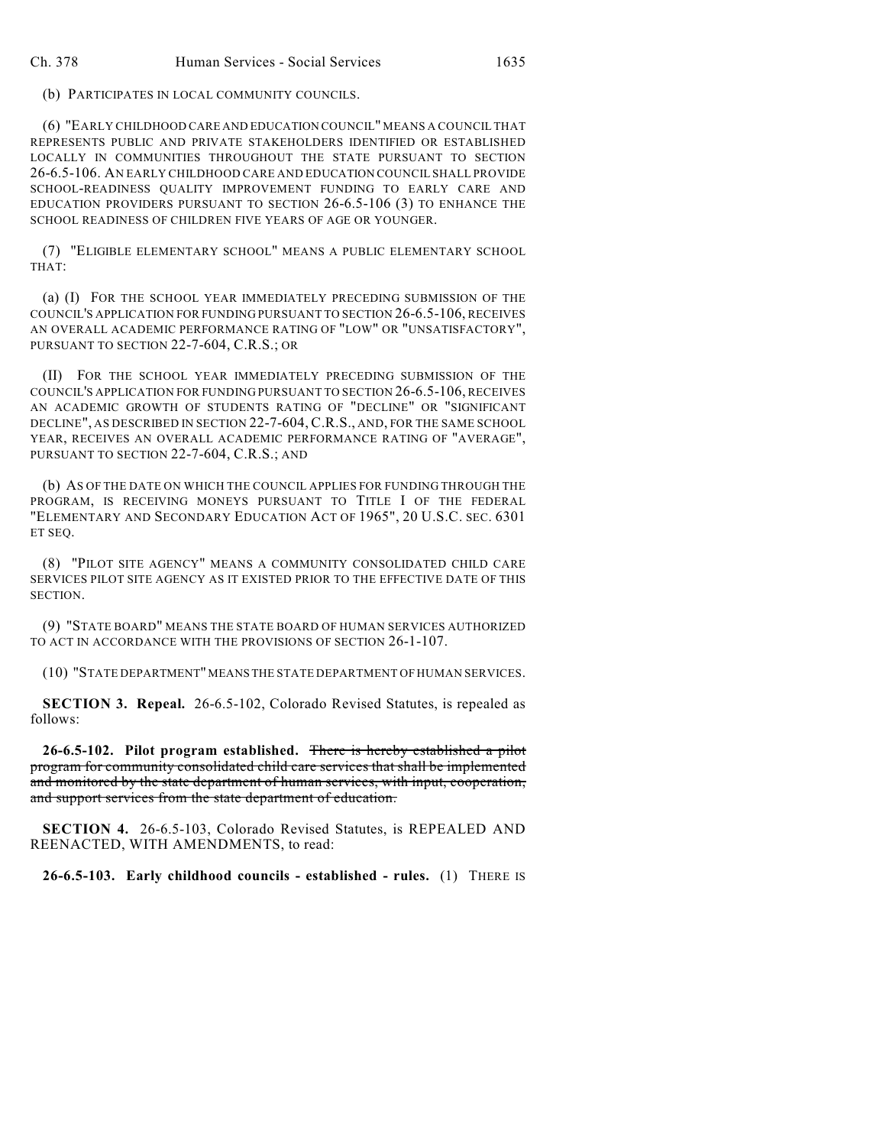(b) PARTICIPATES IN LOCAL COMMUNITY COUNCILS.

(6) "EARLY CHILDHOOD CARE AND EDUCATION COUNCIL" MEANS A COUNCIL THAT REPRESENTS PUBLIC AND PRIVATE STAKEHOLDERS IDENTIFIED OR ESTABLISHED LOCALLY IN COMMUNITIES THROUGHOUT THE STATE PURSUANT TO SECTION 26-6.5-106. AN EARLY CHILDHOOD CARE AND EDUCATION COUNCIL SHALL PROVIDE SCHOOL-READINESS QUALITY IMPROVEMENT FUNDING TO EARLY CARE AND EDUCATION PROVIDERS PURSUANT TO SECTION 26-6.5-106 (3) TO ENHANCE THE SCHOOL READINESS OF CHILDREN FIVE YEARS OF AGE OR YOUNGER.

(7) "ELIGIBLE ELEMENTARY SCHOOL" MEANS A PUBLIC ELEMENTARY SCHOOL THAT:

(a) (I) FOR THE SCHOOL YEAR IMMEDIATELY PRECEDING SUBMISSION OF THE COUNCIL'S APPLICATION FOR FUNDING PURSUANT TO SECTION 26-6.5-106, RECEIVES AN OVERALL ACADEMIC PERFORMANCE RATING OF "LOW" OR "UNSATISFACTORY", PURSUANT TO SECTION 22-7-604, C.R.S.; OR

(II) FOR THE SCHOOL YEAR IMMEDIATELY PRECEDING SUBMISSION OF THE COUNCIL'S APPLICATION FOR FUNDING PURSUANT TO SECTION 26-6.5-106, RECEIVES AN ACADEMIC GROWTH OF STUDENTS RATING OF "DECLINE" OR "SIGNIFICANT DECLINE", AS DESCRIBED IN SECTION 22-7-604, C.R.S., AND, FOR THE SAME SCHOOL YEAR, RECEIVES AN OVERALL ACADEMIC PERFORMANCE RATING OF "AVERAGE", PURSUANT TO SECTION 22-7-604, C.R.S.; AND

(b) AS OF THE DATE ON WHICH THE COUNCIL APPLIES FOR FUNDING THROUGH THE PROGRAM, IS RECEIVING MONEYS PURSUANT TO TITLE I OF THE FEDERAL "ELEMENTARY AND SECONDARY EDUCATION ACT OF 1965", 20 U.S.C. SEC. 6301 ET SEQ.

(8) "PILOT SITE AGENCY" MEANS A COMMUNITY CONSOLIDATED CHILD CARE SERVICES PILOT SITE AGENCY AS IT EXISTED PRIOR TO THE EFFECTIVE DATE OF THIS SECTION.

(9) "STATE BOARD" MEANS THE STATE BOARD OF HUMAN SERVICES AUTHORIZED TO ACT IN ACCORDANCE WITH THE PROVISIONS OF SECTION 26-1-107.

(10) "STATE DEPARTMENT" MEANS THE STATE DEPARTMENT OF HUMAN SERVICES.

**SECTION 3. Repeal.** 26-6.5-102, Colorado Revised Statutes, is repealed as follows:

**26-6.5-102. Pilot program established.** There is hereby established a pilot program for community consolidated child care services that shall be implemented and monitored by the state department of human services, with input, cooperation, and support services from the state department of education.

**SECTION 4.** 26-6.5-103, Colorado Revised Statutes, is REPEALED AND REENACTED, WITH AMENDMENTS, to read:

**26-6.5-103. Early childhood councils - established - rules.** (1) THERE IS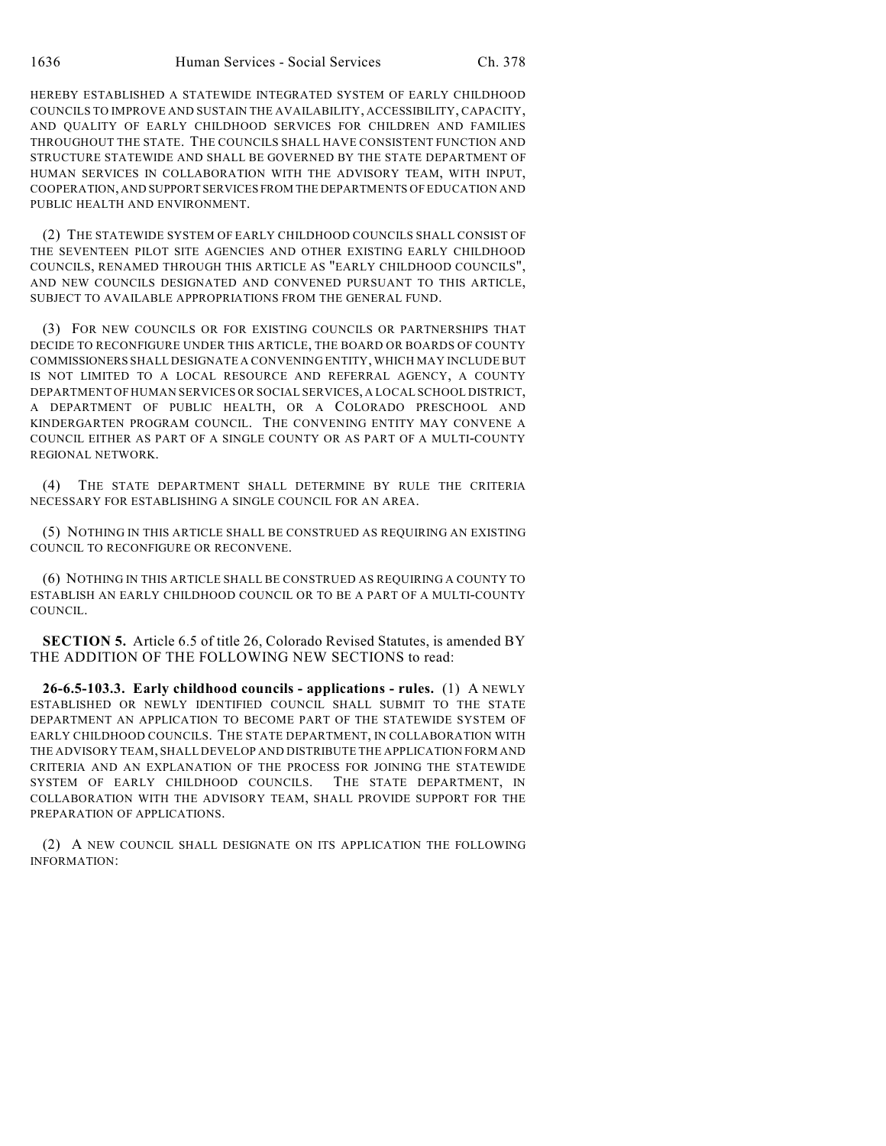HEREBY ESTABLISHED A STATEWIDE INTEGRATED SYSTEM OF EARLY CHILDHOOD COUNCILS TO IMPROVE AND SUSTAIN THE AVAILABILITY, ACCESSIBILITY, CAPACITY, AND QUALITY OF EARLY CHILDHOOD SERVICES FOR CHILDREN AND FAMILIES THROUGHOUT THE STATE. THE COUNCILS SHALL HAVE CONSISTENT FUNCTION AND STRUCTURE STATEWIDE AND SHALL BE GOVERNED BY THE STATE DEPARTMENT OF HUMAN SERVICES IN COLLABORATION WITH THE ADVISORY TEAM, WITH INPUT, COOPERATION, AND SUPPORT SERVICES FROM THE DEPARTMENTS OF EDUCATION AND PUBLIC HEALTH AND ENVIRONMENT.

(2) THE STATEWIDE SYSTEM OF EARLY CHILDHOOD COUNCILS SHALL CONSIST OF THE SEVENTEEN PILOT SITE AGENCIES AND OTHER EXISTING EARLY CHILDHOOD COUNCILS, RENAMED THROUGH THIS ARTICLE AS "EARLY CHILDHOOD COUNCILS", AND NEW COUNCILS DESIGNATED AND CONVENED PURSUANT TO THIS ARTICLE, SUBJECT TO AVAILABLE APPROPRIATIONS FROM THE GENERAL FUND.

(3) FOR NEW COUNCILS OR FOR EXISTING COUNCILS OR PARTNERSHIPS THAT DECIDE TO RECONFIGURE UNDER THIS ARTICLE, THE BOARD OR BOARDS OF COUNTY COMMISSIONERS SHALL DESIGNATE A CONVENING ENTITY, WHICH MAY INCLUDE BUT IS NOT LIMITED TO A LOCAL RESOURCE AND REFERRAL AGENCY, A COUNTY DEPARTMENT OF HUMAN SERVICES OR SOCIAL SERVICES, A LOCAL SCHOOL DISTRICT, A DEPARTMENT OF PUBLIC HEALTH, OR A COLORADO PRESCHOOL AND KINDERGARTEN PROGRAM COUNCIL. THE CONVENING ENTITY MAY CONVENE A COUNCIL EITHER AS PART OF A SINGLE COUNTY OR AS PART OF A MULTI-COUNTY REGIONAL NETWORK.

(4) THE STATE DEPARTMENT SHALL DETERMINE BY RULE THE CRITERIA NECESSARY FOR ESTABLISHING A SINGLE COUNCIL FOR AN AREA.

(5) NOTHING IN THIS ARTICLE SHALL BE CONSTRUED AS REQUIRING AN EXISTING COUNCIL TO RECONFIGURE OR RECONVENE.

(6) NOTHING IN THIS ARTICLE SHALL BE CONSTRUED AS REQUIRING A COUNTY TO ESTABLISH AN EARLY CHILDHOOD COUNCIL OR TO BE A PART OF A MULTI-COUNTY COUNCIL.

**SECTION 5.** Article 6.5 of title 26, Colorado Revised Statutes, is amended BY THE ADDITION OF THE FOLLOWING NEW SECTIONS to read:

**26-6.5-103.3. Early childhood councils - applications - rules.** (1) A NEWLY ESTABLISHED OR NEWLY IDENTIFIED COUNCIL SHALL SUBMIT TO THE STATE DEPARTMENT AN APPLICATION TO BECOME PART OF THE STATEWIDE SYSTEM OF EARLY CHILDHOOD COUNCILS. THE STATE DEPARTMENT, IN COLLABORATION WITH THE ADVISORY TEAM, SHALL DEVELOP AND DISTRIBUTE THE APPLICATION FORM AND CRITERIA AND AN EXPLANATION OF THE PROCESS FOR JOINING THE STATEWIDE SYSTEM OF EARLY CHILDHOOD COUNCILS. THE STATE DEPARTMENT, IN COLLABORATION WITH THE ADVISORY TEAM, SHALL PROVIDE SUPPORT FOR THE PREPARATION OF APPLICATIONS.

(2) A NEW COUNCIL SHALL DESIGNATE ON ITS APPLICATION THE FOLLOWING INFORMATION: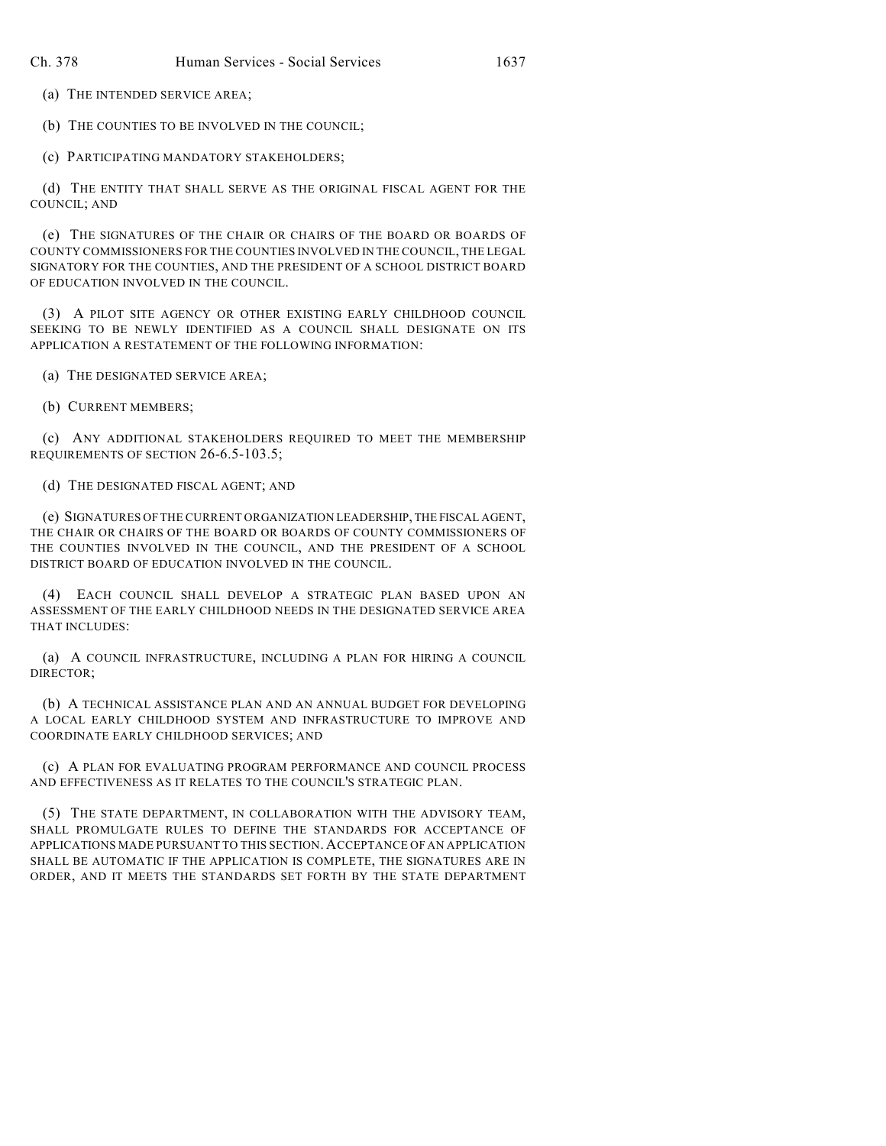(a) THE INTENDED SERVICE AREA;

(b) THE COUNTIES TO BE INVOLVED IN THE COUNCIL;

(c) PARTICIPATING MANDATORY STAKEHOLDERS;

(d) THE ENTITY THAT SHALL SERVE AS THE ORIGINAL FISCAL AGENT FOR THE COUNCIL; AND

(e) THE SIGNATURES OF THE CHAIR OR CHAIRS OF THE BOARD OR BOARDS OF COUNTY COMMISSIONERS FOR THE COUNTIES INVOLVED IN THE COUNCIL, THE LEGAL SIGNATORY FOR THE COUNTIES, AND THE PRESIDENT OF A SCHOOL DISTRICT BOARD OF EDUCATION INVOLVED IN THE COUNCIL.

(3) A PILOT SITE AGENCY OR OTHER EXISTING EARLY CHILDHOOD COUNCIL SEEKING TO BE NEWLY IDENTIFIED AS A COUNCIL SHALL DESIGNATE ON ITS APPLICATION A RESTATEMENT OF THE FOLLOWING INFORMATION:

(a) THE DESIGNATED SERVICE AREA;

(b) CURRENT MEMBERS;

(c) ANY ADDITIONAL STAKEHOLDERS REQUIRED TO MEET THE MEMBERSHIP REQUIREMENTS OF SECTION 26-6.5-103.5;

(d) THE DESIGNATED FISCAL AGENT; AND

(e) SIGNATURES OF THE CURRENT ORGANIZATION LEADERSHIP, THE FISCAL AGENT, THE CHAIR OR CHAIRS OF THE BOARD OR BOARDS OF COUNTY COMMISSIONERS OF THE COUNTIES INVOLVED IN THE COUNCIL, AND THE PRESIDENT OF A SCHOOL DISTRICT BOARD OF EDUCATION INVOLVED IN THE COUNCIL.

(4) EACH COUNCIL SHALL DEVELOP A STRATEGIC PLAN BASED UPON AN ASSESSMENT OF THE EARLY CHILDHOOD NEEDS IN THE DESIGNATED SERVICE AREA THAT INCLUDES:

(a) A COUNCIL INFRASTRUCTURE, INCLUDING A PLAN FOR HIRING A COUNCIL DIRECTOR;

(b) A TECHNICAL ASSISTANCE PLAN AND AN ANNUAL BUDGET FOR DEVELOPING A LOCAL EARLY CHILDHOOD SYSTEM AND INFRASTRUCTURE TO IMPROVE AND COORDINATE EARLY CHILDHOOD SERVICES; AND

(c) A PLAN FOR EVALUATING PROGRAM PERFORMANCE AND COUNCIL PROCESS AND EFFECTIVENESS AS IT RELATES TO THE COUNCIL'S STRATEGIC PLAN.

(5) THE STATE DEPARTMENT, IN COLLABORATION WITH THE ADVISORY TEAM, SHALL PROMULGATE RULES TO DEFINE THE STANDARDS FOR ACCEPTANCE OF APPLICATIONS MADE PURSUANT TO THIS SECTION. ACCEPTANCE OF AN APPLICATION SHALL BE AUTOMATIC IF THE APPLICATION IS COMPLETE, THE SIGNATURES ARE IN ORDER, AND IT MEETS THE STANDARDS SET FORTH BY THE STATE DEPARTMENT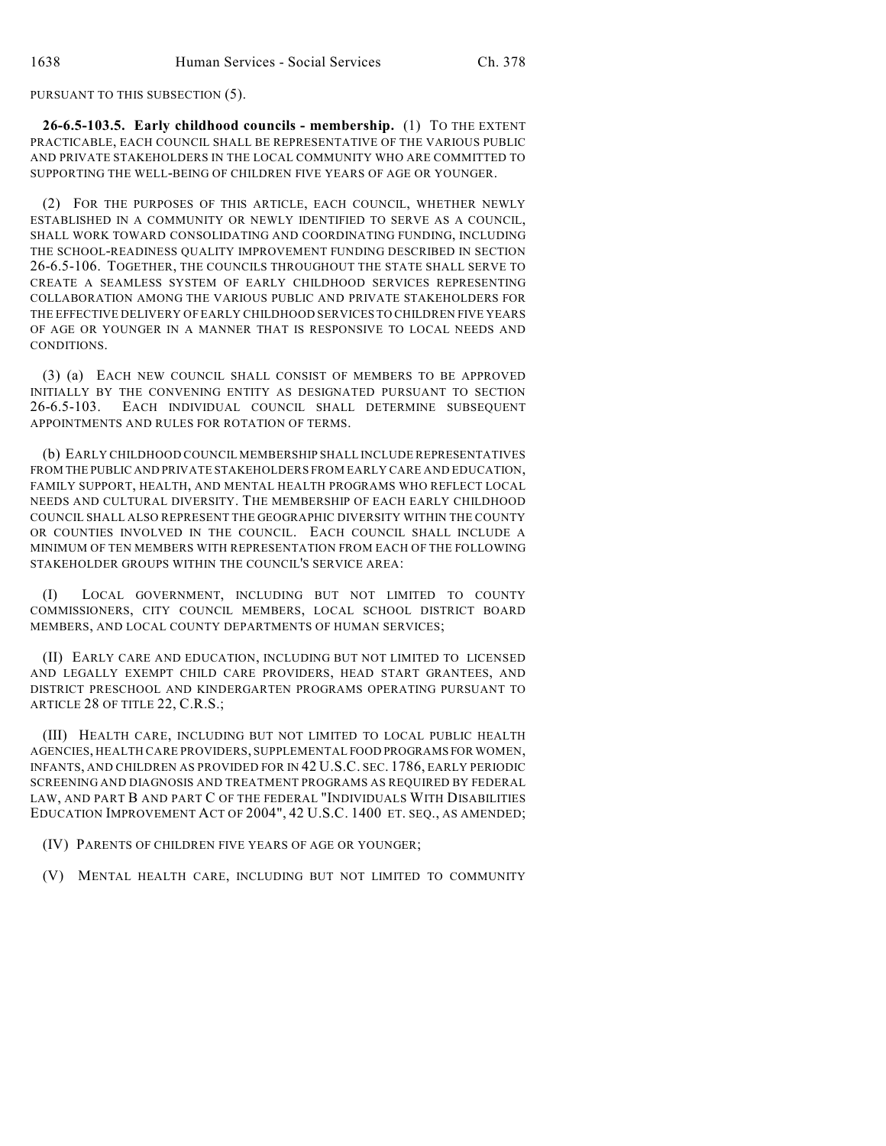PURSUANT TO THIS SUBSECTION (5).

**26-6.5-103.5. Early childhood councils - membership.** (1) TO THE EXTENT PRACTICABLE, EACH COUNCIL SHALL BE REPRESENTATIVE OF THE VARIOUS PUBLIC AND PRIVATE STAKEHOLDERS IN THE LOCAL COMMUNITY WHO ARE COMMITTED TO SUPPORTING THE WELL-BEING OF CHILDREN FIVE YEARS OF AGE OR YOUNGER.

(2) FOR THE PURPOSES OF THIS ARTICLE, EACH COUNCIL, WHETHER NEWLY ESTABLISHED IN A COMMUNITY OR NEWLY IDENTIFIED TO SERVE AS A COUNCIL, SHALL WORK TOWARD CONSOLIDATING AND COORDINATING FUNDING, INCLUDING THE SCHOOL-READINESS QUALITY IMPROVEMENT FUNDING DESCRIBED IN SECTION 26-6.5-106. TOGETHER, THE COUNCILS THROUGHOUT THE STATE SHALL SERVE TO CREATE A SEAMLESS SYSTEM OF EARLY CHILDHOOD SERVICES REPRESENTING COLLABORATION AMONG THE VARIOUS PUBLIC AND PRIVATE STAKEHOLDERS FOR THE EFFECTIVE DELIVERY OF EARLY CHILDHOOD SERVICES TO CHILDREN FIVE YEARS OF AGE OR YOUNGER IN A MANNER THAT IS RESPONSIVE TO LOCAL NEEDS AND CONDITIONS.

(3) (a) EACH NEW COUNCIL SHALL CONSIST OF MEMBERS TO BE APPROVED INITIALLY BY THE CONVENING ENTITY AS DESIGNATED PURSUANT TO SECTION 26-6.5-103. EACH INDIVIDUAL COUNCIL SHALL DETERMINE SUBSEQUENT APPOINTMENTS AND RULES FOR ROTATION OF TERMS.

(b) EARLY CHILDHOOD COUNCIL MEMBERSHIP SHALL INCLUDE REPRESENTATIVES FROM THE PUBLIC AND PRIVATE STAKEHOLDERS FROM EARLY CARE AND EDUCATION, FAMILY SUPPORT, HEALTH, AND MENTAL HEALTH PROGRAMS WHO REFLECT LOCAL NEEDS AND CULTURAL DIVERSITY. THE MEMBERSHIP OF EACH EARLY CHILDHOOD COUNCIL SHALL ALSO REPRESENT THE GEOGRAPHIC DIVERSITY WITHIN THE COUNTY OR COUNTIES INVOLVED IN THE COUNCIL. EACH COUNCIL SHALL INCLUDE A MINIMUM OF TEN MEMBERS WITH REPRESENTATION FROM EACH OF THE FOLLOWING STAKEHOLDER GROUPS WITHIN THE COUNCIL'S SERVICE AREA:

(I) LOCAL GOVERNMENT, INCLUDING BUT NOT LIMITED TO COUNTY COMMISSIONERS, CITY COUNCIL MEMBERS, LOCAL SCHOOL DISTRICT BOARD MEMBERS, AND LOCAL COUNTY DEPARTMENTS OF HUMAN SERVICES;

(II) EARLY CARE AND EDUCATION, INCLUDING BUT NOT LIMITED TO LICENSED AND LEGALLY EXEMPT CHILD CARE PROVIDERS, HEAD START GRANTEES, AND DISTRICT PRESCHOOL AND KINDERGARTEN PROGRAMS OPERATING PURSUANT TO ARTICLE 28 OF TITLE 22, C.R.S.;

(III) HEALTH CARE, INCLUDING BUT NOT LIMITED TO LOCAL PUBLIC HEALTH AGENCIES, HEALTH CARE PROVIDERS, SUPPLEMENTAL FOOD PROGRAMS FOR WOMEN, INFANTS, AND CHILDREN AS PROVIDED FOR IN 42 U.S.C. SEC. 1786, EARLY PERIODIC SCREENING AND DIAGNOSIS AND TREATMENT PROGRAMS AS REQUIRED BY FEDERAL LAW, AND PART B AND PART C OF THE FEDERAL "INDIVIDUALS WITH DISABILITIES EDUCATION IMPROVEMENT ACT OF 2004", 42 U.S.C. 1400 ET. SEQ., AS AMENDED;

(IV) PARENTS OF CHILDREN FIVE YEARS OF AGE OR YOUNGER;

(V) MENTAL HEALTH CARE, INCLUDING BUT NOT LIMITED TO COMMUNITY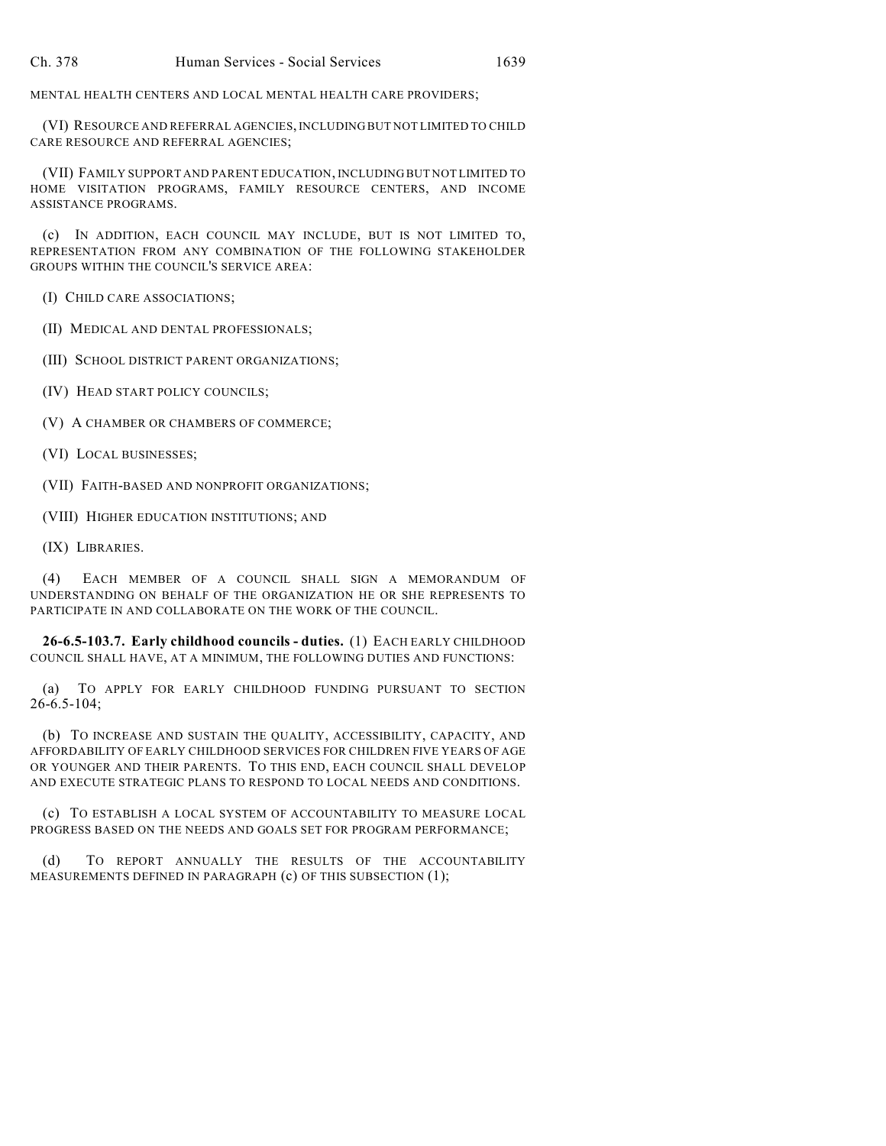MENTAL HEALTH CENTERS AND LOCAL MENTAL HEALTH CARE PROVIDERS;

(VI) RESOURCE AND REFERRAL AGENCIES, INCLUDING BUT NOT LIMITED TO CHILD CARE RESOURCE AND REFERRAL AGENCIES;

(VII) FAMILY SUPPORT AND PARENT EDUCATION, INCLUDING BUT NOT LIMITED TO HOME VISITATION PROGRAMS, FAMILY RESOURCE CENTERS, AND INCOME ASSISTANCE PROGRAMS.

(c) IN ADDITION, EACH COUNCIL MAY INCLUDE, BUT IS NOT LIMITED TO, REPRESENTATION FROM ANY COMBINATION OF THE FOLLOWING STAKEHOLDER GROUPS WITHIN THE COUNCIL'S SERVICE AREA:

(I) CHILD CARE ASSOCIATIONS;

(II) MEDICAL AND DENTAL PROFESSIONALS;

(III) SCHOOL DISTRICT PARENT ORGANIZATIONS;

(IV) HEAD START POLICY COUNCILS;

(V) A CHAMBER OR CHAMBERS OF COMMERCE;

(VI) LOCAL BUSINESSES;

(VII) FAITH-BASED AND NONPROFIT ORGANIZATIONS;

(VIII) HIGHER EDUCATION INSTITUTIONS; AND

(IX) LIBRARIES.

(4) EACH MEMBER OF A COUNCIL SHALL SIGN A MEMORANDUM OF UNDERSTANDING ON BEHALF OF THE ORGANIZATION HE OR SHE REPRESENTS TO PARTICIPATE IN AND COLLABORATE ON THE WORK OF THE COUNCIL.

**26-6.5-103.7. Early childhood councils - duties.** (1) EACH EARLY CHILDHOOD COUNCIL SHALL HAVE, AT A MINIMUM, THE FOLLOWING DUTIES AND FUNCTIONS:

(a) TO APPLY FOR EARLY CHILDHOOD FUNDING PURSUANT TO SECTION 26-6.5-104;

(b) TO INCREASE AND SUSTAIN THE QUALITY, ACCESSIBILITY, CAPACITY, AND AFFORDABILITY OF EARLY CHILDHOOD SERVICES FOR CHILDREN FIVE YEARS OF AGE OR YOUNGER AND THEIR PARENTS. TO THIS END, EACH COUNCIL SHALL DEVELOP AND EXECUTE STRATEGIC PLANS TO RESPOND TO LOCAL NEEDS AND CONDITIONS.

(c) TO ESTABLISH A LOCAL SYSTEM OF ACCOUNTABILITY TO MEASURE LOCAL PROGRESS BASED ON THE NEEDS AND GOALS SET FOR PROGRAM PERFORMANCE;

(d) TO REPORT ANNUALLY THE RESULTS OF THE ACCOUNTABILITY MEASUREMENTS DEFINED IN PARAGRAPH (c) OF THIS SUBSECTION (1);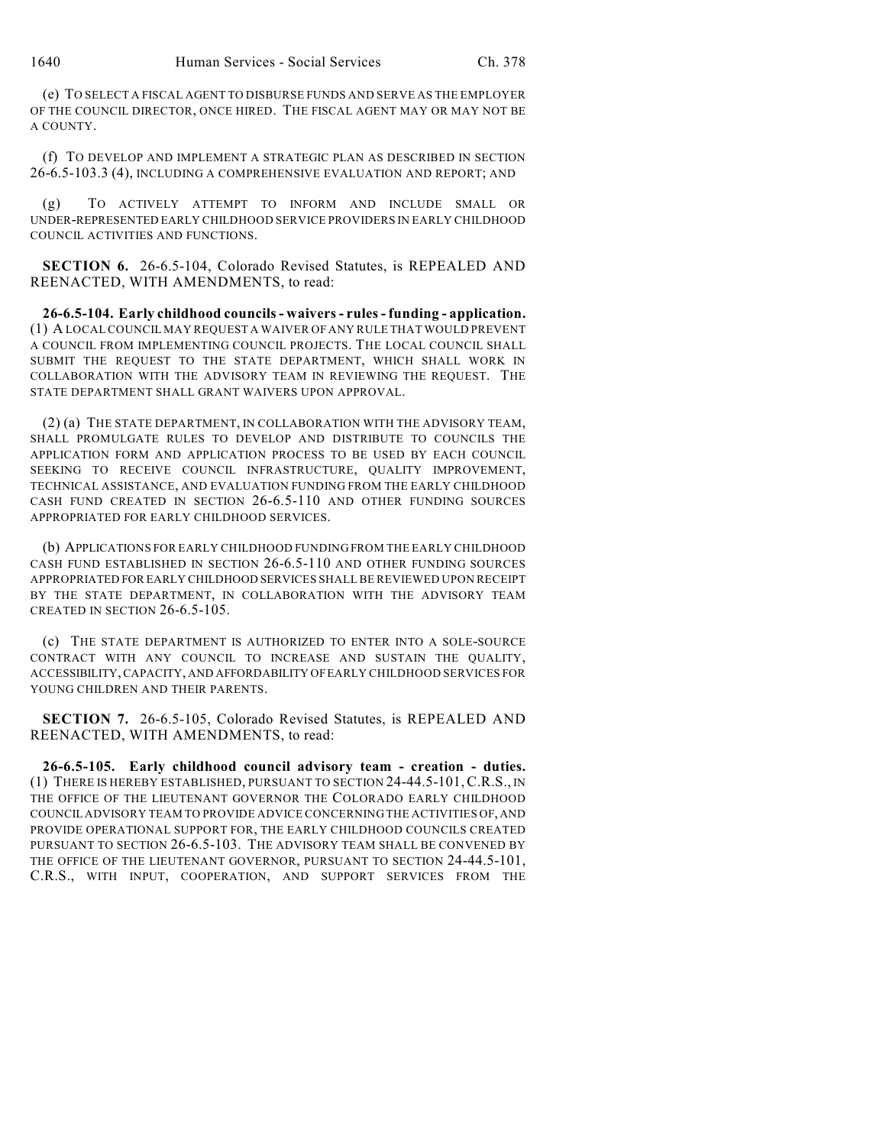(e) TO SELECT A FISCAL AGENT TO DISBURSE FUNDS AND SERVE AS THE EMPLOYER OF THE COUNCIL DIRECTOR, ONCE HIRED. THE FISCAL AGENT MAY OR MAY NOT BE A COUNTY.

(f) TO DEVELOP AND IMPLEMENT A STRATEGIC PLAN AS DESCRIBED IN SECTION 26-6.5-103.3 (4), INCLUDING A COMPREHENSIVE EVALUATION AND REPORT; AND

(g) TO ACTIVELY ATTEMPT TO INFORM AND INCLUDE SMALL OR UNDER-REPRESENTED EARLY CHILDHOOD SERVICE PROVIDERS IN EARLY CHILDHOOD COUNCIL ACTIVITIES AND FUNCTIONS.

**SECTION 6.** 26-6.5-104, Colorado Revised Statutes, is REPEALED AND REENACTED, WITH AMENDMENTS, to read:

**26-6.5-104. Early childhood councils - waivers - rules - funding - application.** (1) A LOCAL COUNCIL MAY REQUEST A WAIVER OF ANY RULE THAT WOULD PREVENT A COUNCIL FROM IMPLEMENTING COUNCIL PROJECTS. THE LOCAL COUNCIL SHALL SUBMIT THE REQUEST TO THE STATE DEPARTMENT, WHICH SHALL WORK IN COLLABORATION WITH THE ADVISORY TEAM IN REVIEWING THE REQUEST. THE STATE DEPARTMENT SHALL GRANT WAIVERS UPON APPROVAL.

(2) (a) THE STATE DEPARTMENT, IN COLLABORATION WITH THE ADVISORY TEAM, SHALL PROMULGATE RULES TO DEVELOP AND DISTRIBUTE TO COUNCILS THE APPLICATION FORM AND APPLICATION PROCESS TO BE USED BY EACH COUNCIL SEEKING TO RECEIVE COUNCIL INFRASTRUCTURE, QUALITY IMPROVEMENT, TECHNICAL ASSISTANCE, AND EVALUATION FUNDING FROM THE EARLY CHILDHOOD CASH FUND CREATED IN SECTION 26-6.5-110 AND OTHER FUNDING SOURCES APPROPRIATED FOR EARLY CHILDHOOD SERVICES.

(b) APPLICATIONS FOR EARLY CHILDHOOD FUNDING FROM THE EARLY CHILDHOOD CASH FUND ESTABLISHED IN SECTION 26-6.5-110 AND OTHER FUNDING SOURCES APPROPRIATED FOR EARLY CHILDHOOD SERVICES SHALL BE REVIEWED UPON RECEIPT BY THE STATE DEPARTMENT, IN COLLABORATION WITH THE ADVISORY TEAM CREATED IN SECTION 26-6.5-105.

(c) THE STATE DEPARTMENT IS AUTHORIZED TO ENTER INTO A SOLE-SOURCE CONTRACT WITH ANY COUNCIL TO INCREASE AND SUSTAIN THE QUALITY, ACCESSIBILITY, CAPACITY, AND AFFORDABILITY OF EARLY CHILDHOOD SERVICES FOR YOUNG CHILDREN AND THEIR PARENTS.

**SECTION 7.** 26-6.5-105, Colorado Revised Statutes, is REPEALED AND REENACTED, WITH AMENDMENTS, to read:

**26-6.5-105. Early childhood council advisory team - creation - duties.** (1) THERE IS HEREBY ESTABLISHED, PURSUANT TO SECTION 24-44.5-101,C.R.S., IN THE OFFICE OF THE LIEUTENANT GOVERNOR THE COLORADO EARLY CHILDHOOD COUNCIL ADVISORY TEAM TO PROVIDE ADVICE CONCERNING THE ACTIVITIES OF, AND PROVIDE OPERATIONAL SUPPORT FOR, THE EARLY CHILDHOOD COUNCILS CREATED PURSUANT TO SECTION 26-6.5-103. THE ADVISORY TEAM SHALL BE CONVENED BY THE OFFICE OF THE LIEUTENANT GOVERNOR, PURSUANT TO SECTION 24-44.5-101, C.R.S., WITH INPUT, COOPERATION, AND SUPPORT SERVICES FROM THE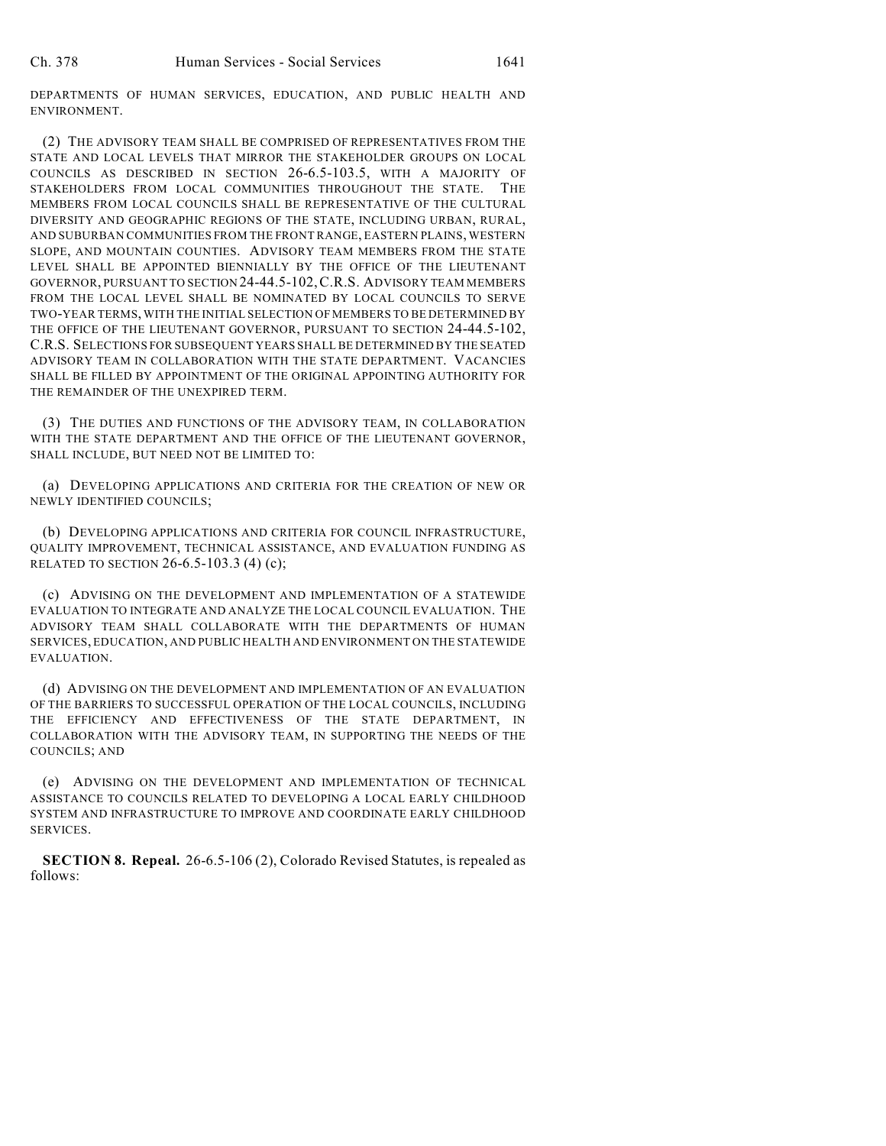DEPARTMENTS OF HUMAN SERVICES, EDUCATION, AND PUBLIC HEALTH AND ENVIRONMENT.

(2) THE ADVISORY TEAM SHALL BE COMPRISED OF REPRESENTATIVES FROM THE STATE AND LOCAL LEVELS THAT MIRROR THE STAKEHOLDER GROUPS ON LOCAL COUNCILS AS DESCRIBED IN SECTION 26-6.5-103.5, WITH A MAJORITY OF STAKEHOLDERS FROM LOCAL COMMUNITIES THROUGHOUT THE STATE. THE MEMBERS FROM LOCAL COUNCILS SHALL BE REPRESENTATIVE OF THE CULTURAL DIVERSITY AND GEOGRAPHIC REGIONS OF THE STATE, INCLUDING URBAN, RURAL, AND SUBURBAN COMMUNITIES FROM THE FRONT RANGE, EASTERN PLAINS, WESTERN SLOPE, AND MOUNTAIN COUNTIES. ADVISORY TEAM MEMBERS FROM THE STATE LEVEL SHALL BE APPOINTED BIENNIALLY BY THE OFFICE OF THE LIEUTENANT GOVERNOR, PURSUANT TO SECTION 24-44.5-102,C.R.S. ADVISORY TEAM MEMBERS FROM THE LOCAL LEVEL SHALL BE NOMINATED BY LOCAL COUNCILS TO SERVE TWO-YEAR TERMS, WITH THE INITIAL SELECTION OF MEMBERS TO BE DETERMINED BY THE OFFICE OF THE LIEUTENANT GOVERNOR, PURSUANT TO SECTION 24-44.5-102, C.R.S. SELECTIONS FOR SUBSEQUENT YEARS SHALL BE DETERMINED BY THE SEATED ADVISORY TEAM IN COLLABORATION WITH THE STATE DEPARTMENT. VACANCIES SHALL BE FILLED BY APPOINTMENT OF THE ORIGINAL APPOINTING AUTHORITY FOR THE REMAINDER OF THE UNEXPIRED TERM.

(3) THE DUTIES AND FUNCTIONS OF THE ADVISORY TEAM, IN COLLABORATION WITH THE STATE DEPARTMENT AND THE OFFICE OF THE LIEUTENANT GOVERNOR, SHALL INCLUDE, BUT NEED NOT BE LIMITED TO:

(a) DEVELOPING APPLICATIONS AND CRITERIA FOR THE CREATION OF NEW OR NEWLY IDENTIFIED COUNCILS;

(b) DEVELOPING APPLICATIONS AND CRITERIA FOR COUNCIL INFRASTRUCTURE, QUALITY IMPROVEMENT, TECHNICAL ASSISTANCE, AND EVALUATION FUNDING AS RELATED TO SECTION 26-6.5-103.3 (4) (c);

(c) ADVISING ON THE DEVELOPMENT AND IMPLEMENTATION OF A STATEWIDE EVALUATION TO INTEGRATE AND ANALYZE THE LOCAL COUNCIL EVALUATION. THE ADVISORY TEAM SHALL COLLABORATE WITH THE DEPARTMENTS OF HUMAN SERVICES, EDUCATION, AND PUBLIC HEALTH AND ENVIRONMENT ON THE STATEWIDE EVALUATION.

(d) ADVISING ON THE DEVELOPMENT AND IMPLEMENTATION OF AN EVALUATION OF THE BARRIERS TO SUCCESSFUL OPERATION OF THE LOCAL COUNCILS, INCLUDING THE EFFICIENCY AND EFFECTIVENESS OF THE STATE DEPARTMENT, IN COLLABORATION WITH THE ADVISORY TEAM, IN SUPPORTING THE NEEDS OF THE COUNCILS; AND

(e) ADVISING ON THE DEVELOPMENT AND IMPLEMENTATION OF TECHNICAL ASSISTANCE TO COUNCILS RELATED TO DEVELOPING A LOCAL EARLY CHILDHOOD SYSTEM AND INFRASTRUCTURE TO IMPROVE AND COORDINATE EARLY CHILDHOOD SERVICES.

**SECTION 8. Repeal.** 26-6.5-106 (2), Colorado Revised Statutes, is repealed as follows: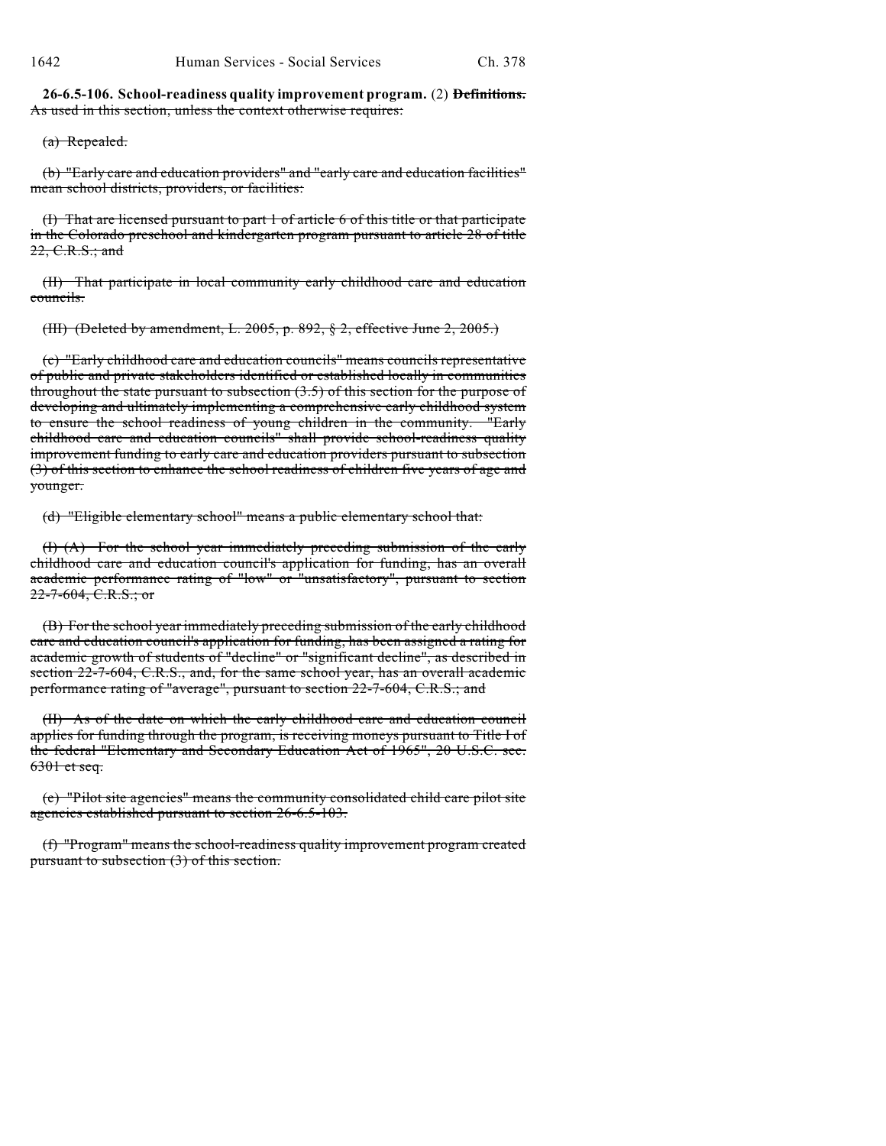**26-6.5-106. School-readiness quality improvement program.** (2) **Definitions.** As used in this section, unless the context otherwise requires:

(a) Repealed.

(b) "Early care and education providers" and "early care and education facilities" mean school districts, providers, or facilities:

(I) That are licensed pursuant to part 1 of article 6 of this title or that participate in the Colorado preschool and kindergarten program pursuant to article 28 of title 22, C.R.S.; and

(II) That participate in local community early childhood care and education councils.

(III) (Deleted by amendment, L. 2005, p. 892, § 2, effective June 2, 2005.)

(c) "Early childhood care and education councils" means councils representative of public and private stakeholders identified or established locally in communities throughout the state pursuant to subsection  $(3.5)$  of this section for the purpose of developing and ultimately implementing a comprehensive early childhood system to ensure the school readiness of young children in the community. "Early childhood care and education councils" shall provide school-readiness quality improvement funding to early care and education providers pursuant to subsection (3) of this section to enhance the school readiness of children five years of age and younger.

(d) "Eligible elementary school" means a public elementary school that:

(I) (A) For the school year immediately preceding submission of the early childhood care and education council's application for funding, has an overall academic performance rating of "low" or "unsatisfactory", pursuant to section  $22-7-604$ , C.R.S.; or

(B) For the school year immediately preceding submission of the early childhood care and education council's application for funding, has been assigned a rating for academic growth of students of "decline" or "significant decline", as described in section 22-7-604, C.R.S., and, for the same school year, has an overall academic performance rating of "average", pursuant to section 22-7-604, C.R.S.; and

(II) As of the date on which the early childhood care and education council applies for funding through the program, is receiving moneys pursuant to Title I of the federal "Elementary and Secondary Education Act of 1965", 20 U.S.C. sec.  $6301$  et seq.

(e) "Pilot site agencies" means the community consolidated child care pilot site agencies established pursuant to section 26-6.5-103.

(f) "Program" means the school-readiness quality improvement program created pursuant to subsection (3) of this section.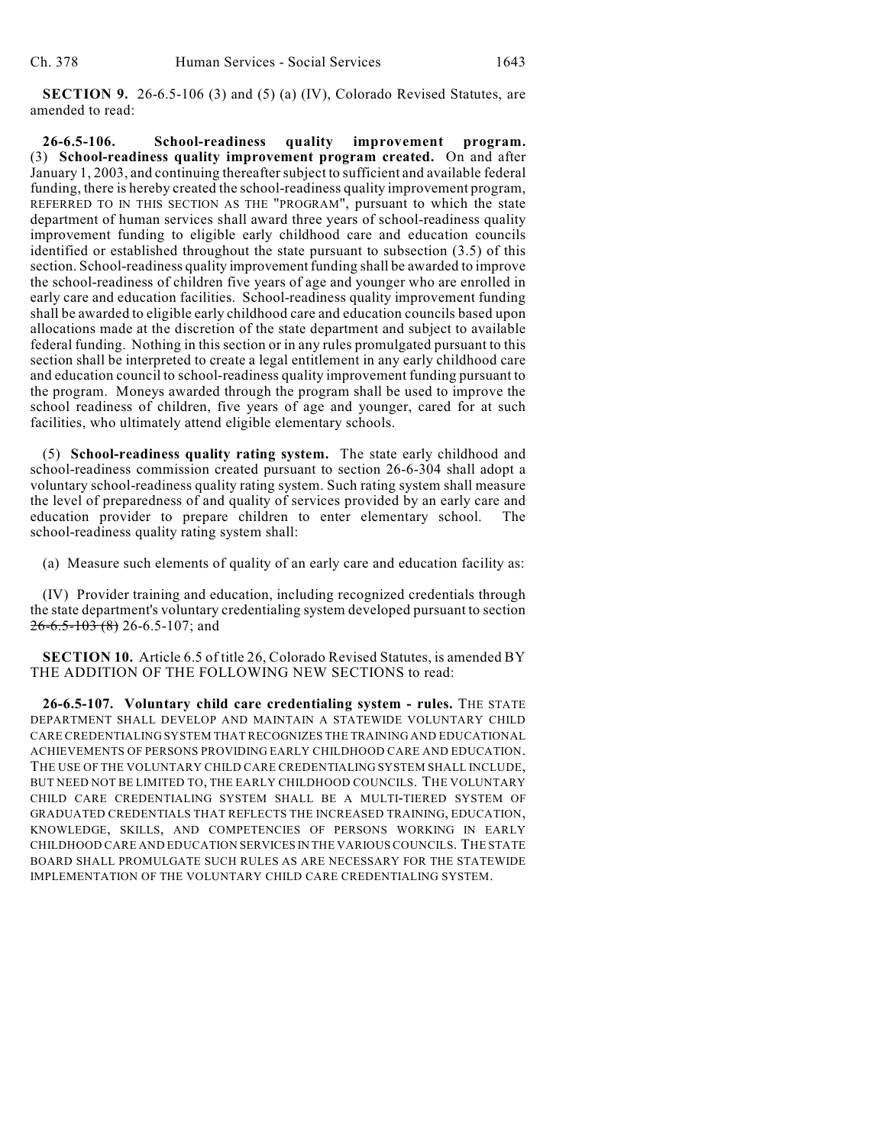**SECTION 9.** 26-6.5-106 (3) and (5) (a) (IV), Colorado Revised Statutes, are amended to read:

**26-6.5-106. School-readiness quality improvement program.** (3) **School-readiness quality improvement program created.** On and after January 1, 2003, and continuing thereafter subject to sufficient and available federal funding, there is hereby created the school-readiness quality improvement program, REFERRED TO IN THIS SECTION AS THE "PROGRAM", pursuant to which the state department of human services shall award three years of school-readiness quality improvement funding to eligible early childhood care and education councils identified or established throughout the state pursuant to subsection (3.5) of this section. School-readiness quality improvement funding shall be awarded to improve the school-readiness of children five years of age and younger who are enrolled in early care and education facilities. School-readiness quality improvement funding shall be awarded to eligible early childhood care and education councils based upon allocations made at the discretion of the state department and subject to available federal funding. Nothing in this section or in any rules promulgated pursuant to this section shall be interpreted to create a legal entitlement in any early childhood care and education council to school-readiness quality improvement funding pursuant to the program. Moneys awarded through the program shall be used to improve the school readiness of children, five years of age and younger, cared for at such facilities, who ultimately attend eligible elementary schools.

(5) **School-readiness quality rating system.** The state early childhood and school-readiness commission created pursuant to section 26-6-304 shall adopt a voluntary school-readiness quality rating system. Such rating system shall measure the level of preparedness of and quality of services provided by an early care and education provider to prepare children to enter elementary school. The school-readiness quality rating system shall:

(a) Measure such elements of quality of an early care and education facility as:

(IV) Provider training and education, including recognized credentials through the state department's voluntary credentialing system developed pursuant to section  $26 - 6.5 - 103$  (8) 26-6.5-107; and

**SECTION 10.** Article 6.5 of title 26, Colorado Revised Statutes, is amended BY THE ADDITION OF THE FOLLOWING NEW SECTIONS to read:

**26-6.5-107. Voluntary child care credentialing system - rules.** THE STATE DEPARTMENT SHALL DEVELOP AND MAINTAIN A STATEWIDE VOLUNTARY CHILD CARE CREDENTIALING SYSTEM THAT RECOGNIZES THE TRAINING AND EDUCATIONAL ACHIEVEMENTS OF PERSONS PROVIDING EARLY CHILDHOOD CARE AND EDUCATION. THE USE OF THE VOLUNTARY CHILD CARE CREDENTIALING SYSTEM SHALL INCLUDE, BUT NEED NOT BE LIMITED TO, THE EARLY CHILDHOOD COUNCILS. THE VOLUNTARY CHILD CARE CREDENTIALING SYSTEM SHALL BE A MULTI-TIERED SYSTEM OF GRADUATED CREDENTIALS THAT REFLECTS THE INCREASED TRAINING, EDUCATION, KNOWLEDGE, SKILLS, AND COMPETENCIES OF PERSONS WORKING IN EARLY CHILDHOOD CARE AND EDUCATION SERVICES IN THE VARIOUS COUNCILS. THE STATE BOARD SHALL PROMULGATE SUCH RULES AS ARE NECESSARY FOR THE STATEWIDE IMPLEMENTATION OF THE VOLUNTARY CHILD CARE CREDENTIALING SYSTEM.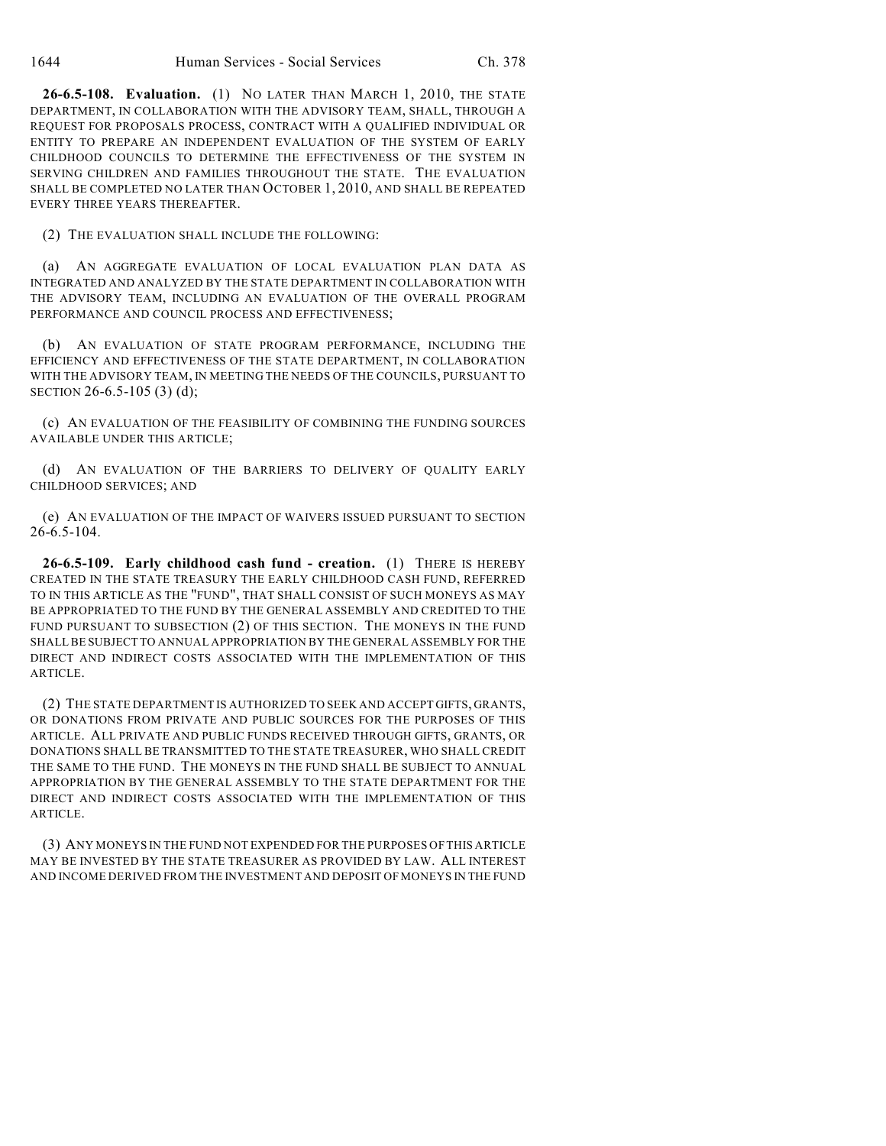**26-6.5-108. Evaluation.** (1) NO LATER THAN MARCH 1, 2010, THE STATE DEPARTMENT, IN COLLABORATION WITH THE ADVISORY TEAM, SHALL, THROUGH A REQUEST FOR PROPOSALS PROCESS, CONTRACT WITH A QUALIFIED INDIVIDUAL OR ENTITY TO PREPARE AN INDEPENDENT EVALUATION OF THE SYSTEM OF EARLY CHILDHOOD COUNCILS TO DETERMINE THE EFFECTIVENESS OF THE SYSTEM IN SERVING CHILDREN AND FAMILIES THROUGHOUT THE STATE. THE EVALUATION SHALL BE COMPLETED NO LATER THAN OCTOBER 1, 2010, AND SHALL BE REPEATED EVERY THREE YEARS THEREAFTER.

(2) THE EVALUATION SHALL INCLUDE THE FOLLOWING:

(a) AN AGGREGATE EVALUATION OF LOCAL EVALUATION PLAN DATA AS INTEGRATED AND ANALYZED BY THE STATE DEPARTMENT IN COLLABORATION WITH THE ADVISORY TEAM, INCLUDING AN EVALUATION OF THE OVERALL PROGRAM PERFORMANCE AND COUNCIL PROCESS AND EFFECTIVENESS;

(b) AN EVALUATION OF STATE PROGRAM PERFORMANCE, INCLUDING THE EFFICIENCY AND EFFECTIVENESS OF THE STATE DEPARTMENT, IN COLLABORATION WITH THE ADVISORY TEAM, IN MEETING THE NEEDS OF THE COUNCILS, PURSUANT TO SECTION 26-6.5-105 (3) (d);

(c) AN EVALUATION OF THE FEASIBILITY OF COMBINING THE FUNDING SOURCES AVAILABLE UNDER THIS ARTICLE;

(d) AN EVALUATION OF THE BARRIERS TO DELIVERY OF QUALITY EARLY CHILDHOOD SERVICES; AND

(e) AN EVALUATION OF THE IMPACT OF WAIVERS ISSUED PURSUANT TO SECTION 26-6.5-104.

**26-6.5-109. Early childhood cash fund - creation.** (1) THERE IS HEREBY CREATED IN THE STATE TREASURY THE EARLY CHILDHOOD CASH FUND, REFERRED TO IN THIS ARTICLE AS THE "FUND", THAT SHALL CONSIST OF SUCH MONEYS AS MAY BE APPROPRIATED TO THE FUND BY THE GENERAL ASSEMBLY AND CREDITED TO THE FUND PURSUANT TO SUBSECTION (2) OF THIS SECTION. THE MONEYS IN THE FUND SHALL BE SUBJECT TO ANNUAL APPROPRIATION BY THE GENERAL ASSEMBLY FOR THE DIRECT AND INDIRECT COSTS ASSOCIATED WITH THE IMPLEMENTATION OF THIS ARTICLE.

(2) THE STATE DEPARTMENT IS AUTHORIZED TO SEEK AND ACCEPT GIFTS, GRANTS, OR DONATIONS FROM PRIVATE AND PUBLIC SOURCES FOR THE PURPOSES OF THIS ARTICLE. ALL PRIVATE AND PUBLIC FUNDS RECEIVED THROUGH GIFTS, GRANTS, OR DONATIONS SHALL BE TRANSMITTED TO THE STATE TREASURER, WHO SHALL CREDIT THE SAME TO THE FUND. THE MONEYS IN THE FUND SHALL BE SUBJECT TO ANNUAL APPROPRIATION BY THE GENERAL ASSEMBLY TO THE STATE DEPARTMENT FOR THE DIRECT AND INDIRECT COSTS ASSOCIATED WITH THE IMPLEMENTATION OF THIS ARTICLE.

(3) ANY MONEYS IN THE FUND NOT EXPENDED FOR THE PURPOSES OF THIS ARTICLE MAY BE INVESTED BY THE STATE TREASURER AS PROVIDED BY LAW. ALL INTEREST AND INCOME DERIVED FROM THE INVESTMENT AND DEPOSIT OF MONEYS IN THE FUND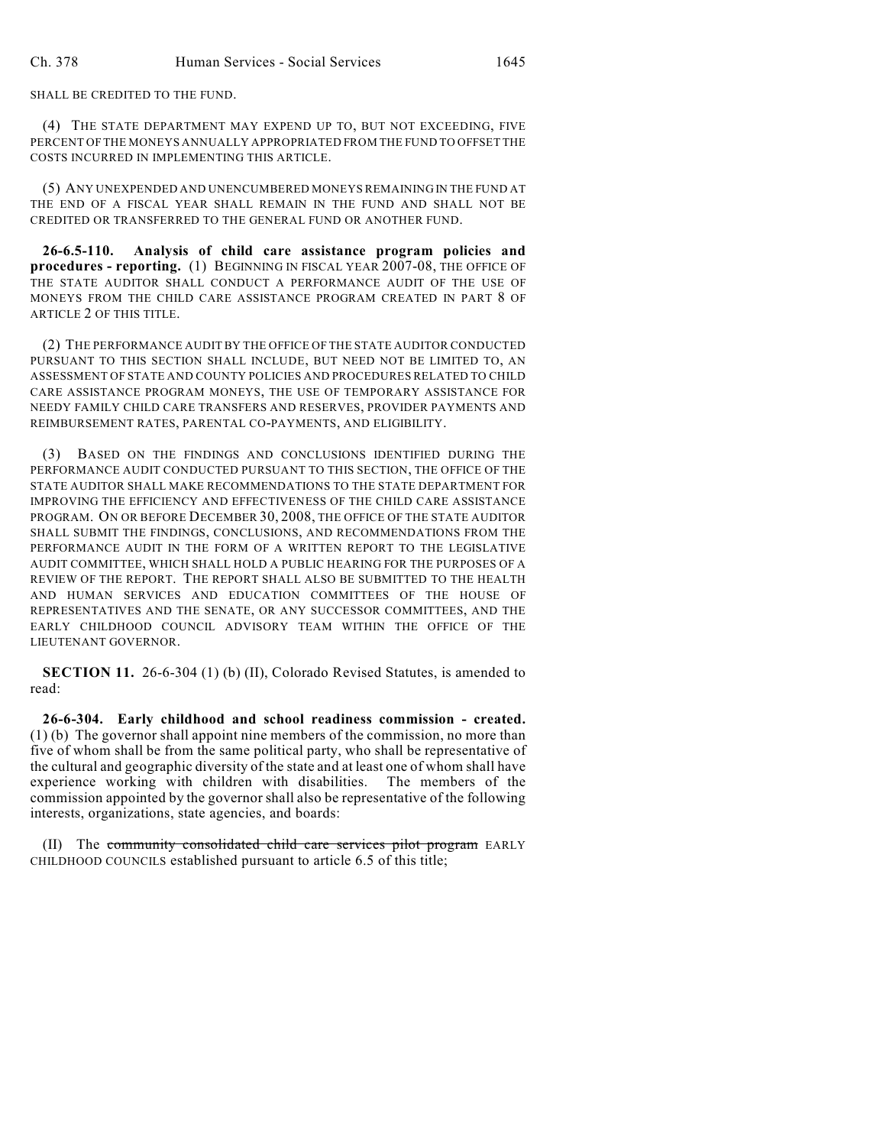SHALL BE CREDITED TO THE FUND.

(4) THE STATE DEPARTMENT MAY EXPEND UP TO, BUT NOT EXCEEDING, FIVE PERCENT OF THE MONEYS ANNUALLY APPROPRIATED FROM THE FUND TO OFFSET THE COSTS INCURRED IN IMPLEMENTING THIS ARTICLE.

(5) ANY UNEXPENDED AND UNENCUMBERED MONEYS REMAINING IN THE FUND AT THE END OF A FISCAL YEAR SHALL REMAIN IN THE FUND AND SHALL NOT BE CREDITED OR TRANSFERRED TO THE GENERAL FUND OR ANOTHER FUND.

**26-6.5-110. Analysis of child care assistance program policies and procedures - reporting.** (1) BEGINNING IN FISCAL YEAR 2007-08, THE OFFICE OF THE STATE AUDITOR SHALL CONDUCT A PERFORMANCE AUDIT OF THE USE OF MONEYS FROM THE CHILD CARE ASSISTANCE PROGRAM CREATED IN PART 8 OF ARTICLE 2 OF THIS TITLE.

(2) THE PERFORMANCE AUDIT BY THE OFFICE OF THE STATE AUDITOR CONDUCTED PURSUANT TO THIS SECTION SHALL INCLUDE, BUT NEED NOT BE LIMITED TO, AN ASSESSMENT OF STATE AND COUNTY POLICIES AND PROCEDURES RELATED TO CHILD CARE ASSISTANCE PROGRAM MONEYS, THE USE OF TEMPORARY ASSISTANCE FOR NEEDY FAMILY CHILD CARE TRANSFERS AND RESERVES, PROVIDER PAYMENTS AND REIMBURSEMENT RATES, PARENTAL CO-PAYMENTS, AND ELIGIBILITY.

(3) BASED ON THE FINDINGS AND CONCLUSIONS IDENTIFIED DURING THE PERFORMANCE AUDIT CONDUCTED PURSUANT TO THIS SECTION, THE OFFICE OF THE STATE AUDITOR SHALL MAKE RECOMMENDATIONS TO THE STATE DEPARTMENT FOR IMPROVING THE EFFICIENCY AND EFFECTIVENESS OF THE CHILD CARE ASSISTANCE PROGRAM. ON OR BEFORE DECEMBER 30, 2008, THE OFFICE OF THE STATE AUDITOR SHALL SUBMIT THE FINDINGS, CONCLUSIONS, AND RECOMMENDATIONS FROM THE PERFORMANCE AUDIT IN THE FORM OF A WRITTEN REPORT TO THE LEGISLATIVE AUDIT COMMITTEE, WHICH SHALL HOLD A PUBLIC HEARING FOR THE PURPOSES OF A REVIEW OF THE REPORT. THE REPORT SHALL ALSO BE SUBMITTED TO THE HEALTH AND HUMAN SERVICES AND EDUCATION COMMITTEES OF THE HOUSE OF REPRESENTATIVES AND THE SENATE, OR ANY SUCCESSOR COMMITTEES, AND THE EARLY CHILDHOOD COUNCIL ADVISORY TEAM WITHIN THE OFFICE OF THE LIEUTENANT GOVERNOR.

**SECTION 11.** 26-6-304 (1) (b) (II), Colorado Revised Statutes, is amended to read:

**26-6-304. Early childhood and school readiness commission - created.** (1) (b) The governor shall appoint nine members of the commission, no more than five of whom shall be from the same political party, who shall be representative of the cultural and geographic diversity of the state and at least one of whom shall have experience working with children with disabilities. The members of the commission appointed by the governor shall also be representative of the following interests, organizations, state agencies, and boards:

(II) The community consolidated child care services pilot program EARLY CHILDHOOD COUNCILS established pursuant to article 6.5 of this title;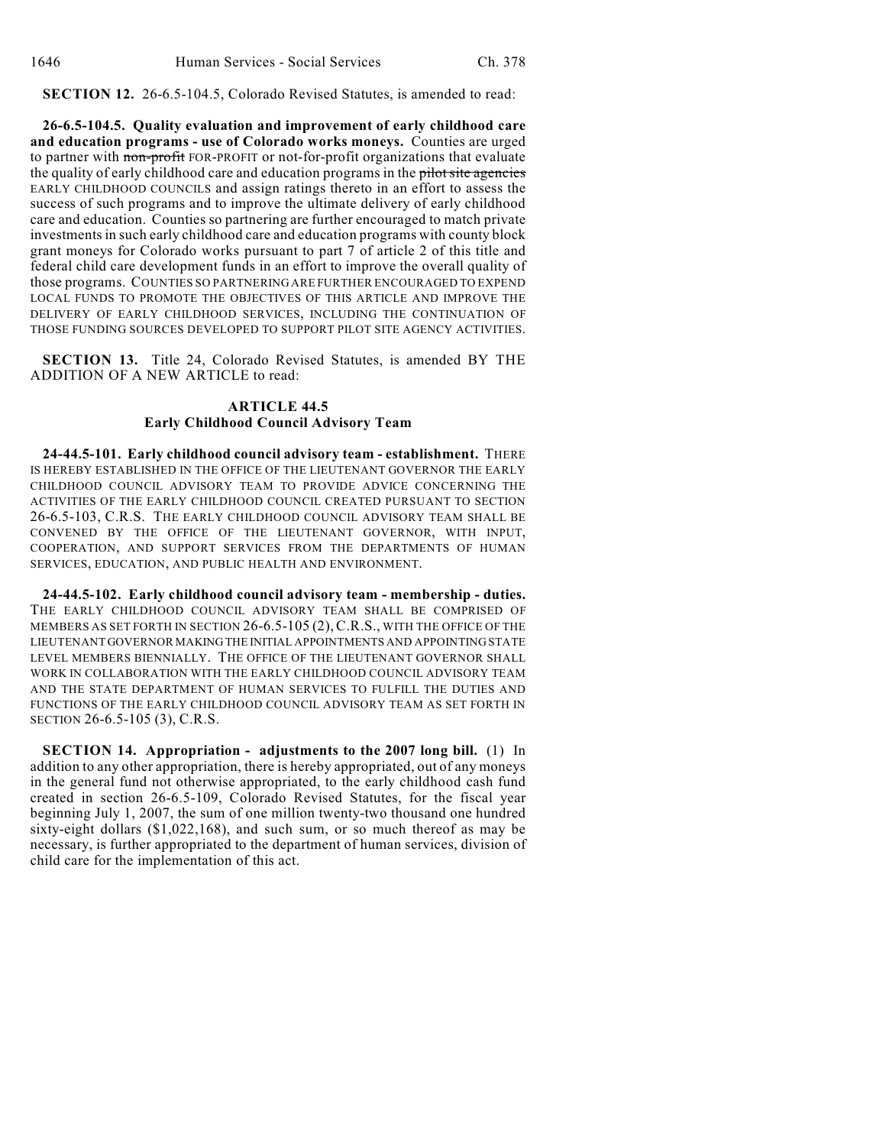**SECTION 12.** 26-6.5-104.5, Colorado Revised Statutes, is amended to read:

**26-6.5-104.5. Quality evaluation and improvement of early childhood care and education programs - use of Colorado works moneys.** Counties are urged to partner with non-profit FOR-PROFIT or not-for-profit organizations that evaluate the quality of early childhood care and education programs in the pilot site agencies EARLY CHILDHOOD COUNCILS and assign ratings thereto in an effort to assess the success of such programs and to improve the ultimate delivery of early childhood care and education. Counties so partnering are further encouraged to match private investments in such early childhood care and education programs with county block grant moneys for Colorado works pursuant to part 7 of article 2 of this title and federal child care development funds in an effort to improve the overall quality of those programs. COUNTIES SO PARTNERING ARE FURTHER ENCOURAGED TO EXPEND LOCAL FUNDS TO PROMOTE THE OBJECTIVES OF THIS ARTICLE AND IMPROVE THE DELIVERY OF EARLY CHILDHOOD SERVICES, INCLUDING THE CONTINUATION OF THOSE FUNDING SOURCES DEVELOPED TO SUPPORT PILOT SITE AGENCY ACTIVITIES.

**SECTION 13.** Title 24, Colorado Revised Statutes, is amended BY THE ADDITION OF A NEW ARTICLE to read:

## **ARTICLE 44.5 Early Childhood Council Advisory Team**

**24-44.5-101. Early childhood council advisory team - establishment.** THERE IS HEREBY ESTABLISHED IN THE OFFICE OF THE LIEUTENANT GOVERNOR THE EARLY CHILDHOOD COUNCIL ADVISORY TEAM TO PROVIDE ADVICE CONCERNING THE ACTIVITIES OF THE EARLY CHILDHOOD COUNCIL CREATED PURSUANT TO SECTION 26-6.5-103, C.R.S. THE EARLY CHILDHOOD COUNCIL ADVISORY TEAM SHALL BE CONVENED BY THE OFFICE OF THE LIEUTENANT GOVERNOR, WITH INPUT, COOPERATION, AND SUPPORT SERVICES FROM THE DEPARTMENTS OF HUMAN SERVICES, EDUCATION, AND PUBLIC HEALTH AND ENVIRONMENT.

**24-44.5-102. Early childhood council advisory team - membership - duties.** THE EARLY CHILDHOOD COUNCIL ADVISORY TEAM SHALL BE COMPRISED OF MEMBERS AS SET FORTH IN SECTION 26-6.5-105 (2), C.R.S., WITH THE OFFICE OF THE LIEUTENANT GOVERNOR MAKING THE INITIAL APPOINTMENTS AND APPOINTING STATE LEVEL MEMBERS BIENNIALLY. THE OFFICE OF THE LIEUTENANT GOVERNOR SHALL WORK IN COLLABORATION WITH THE EARLY CHILDHOOD COUNCIL ADVISORY TEAM AND THE STATE DEPARTMENT OF HUMAN SERVICES TO FULFILL THE DUTIES AND FUNCTIONS OF THE EARLY CHILDHOOD COUNCIL ADVISORY TEAM AS SET FORTH IN SECTION 26-6.5-105 (3), C.R.S.

**SECTION 14. Appropriation - adjustments to the 2007 long bill.** (1) In addition to any other appropriation, there is hereby appropriated, out of any moneys in the general fund not otherwise appropriated, to the early childhood cash fund created in section 26-6.5-109, Colorado Revised Statutes, for the fiscal year beginning July 1, 2007, the sum of one million twenty-two thousand one hundred sixty-eight dollars (\$1,022,168), and such sum, or so much thereof as may be necessary, is further appropriated to the department of human services, division of child care for the implementation of this act.